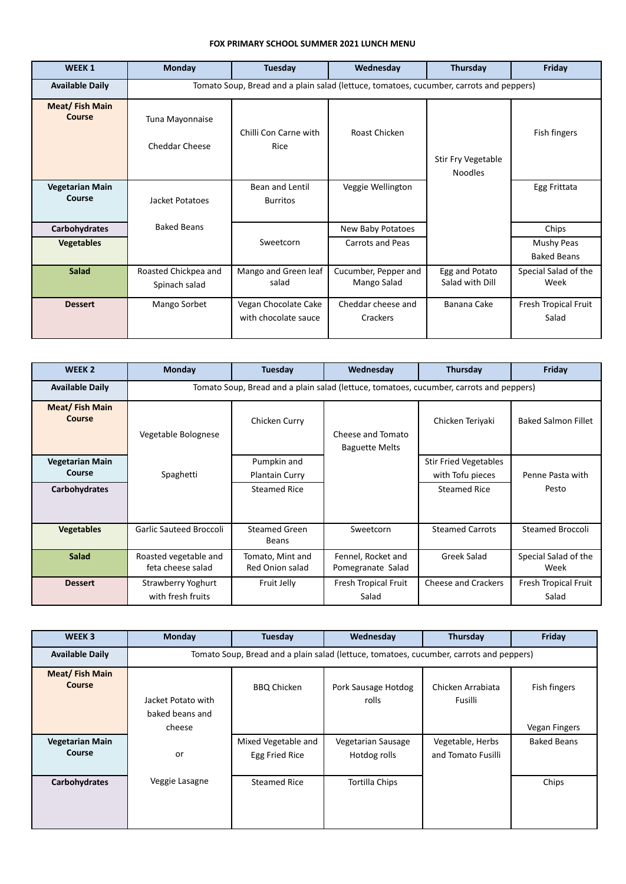## **FOX PRIMARY SCHOOL SUMMER 2021 LUNCH MENU**

| <b>WEEK1</b>                     | <b>Monday</b>                                                                           | Tuesday                                      | Wednesday                           | Thursday                             | Friday                           |  |
|----------------------------------|-----------------------------------------------------------------------------------------|----------------------------------------------|-------------------------------------|--------------------------------------|----------------------------------|--|
| <b>Available Daily</b>           | Tomato Soup, Bread and a plain salad (lettuce, tomatoes, cucumber, carrots and peppers) |                                              |                                     |                                      |                                  |  |
| Meat/Fish Main<br>Course         | Tuna Mayonnaise<br><b>Cheddar Cheese</b>                                                | Chilli Con Carne with<br>Rice                | Roast Chicken                       | Stir Fry Vegetable<br><b>Noodles</b> | Fish fingers                     |  |
| <b>Vegetarian Main</b><br>Course | Jacket Potatoes                                                                         | Bean and Lentil<br><b>Burritos</b>           | Veggie Wellington                   |                                      | Egg Frittata                     |  |
| <b>Carbohydrates</b>             | <b>Baked Beans</b>                                                                      |                                              | New Baby Potatoes                   |                                      | Chips                            |  |
| <b>Vegetables</b>                |                                                                                         | Sweetcorn                                    | Carrots and Peas                    |                                      | Mushy Peas<br><b>Baked Beans</b> |  |
| <b>Salad</b>                     | Roasted Chickpea and<br>Spinach salad                                                   | Mango and Green leaf<br>salad                | Cucumber, Pepper and<br>Mango Salad | Egg and Potato<br>Salad with Dill    | Special Salad of the<br>Week     |  |
| <b>Dessert</b>                   | Mango Sorbet                                                                            | Vegan Chocolate Cake<br>with chocolate sauce | Cheddar cheese and<br>Crackers      | Banana Cake                          | Fresh Tropical Fruit<br>Salad    |  |

| WEEK <sub>2</sub>                                 | <b>Monday</b>                                                                           | Tuesday                                                     | Wednesday                                  | Thursday                                                                | Friday                        |
|---------------------------------------------------|-----------------------------------------------------------------------------------------|-------------------------------------------------------------|--------------------------------------------|-------------------------------------------------------------------------|-------------------------------|
| <b>Available Daily</b>                            | Tomato Soup, Bread and a plain salad (lettuce, tomatoes, cucumber, carrots and peppers) |                                                             |                                            |                                                                         |                               |
| Meat/Fish Main<br>Course                          | Vegetable Bolognese                                                                     | Chicken Curry                                               | Cheese and Tomato<br><b>Baguette Melts</b> | Chicken Teriyaki                                                        | <b>Baked Salmon Fillet</b>    |
| <b>Vegetarian Main</b><br>Course<br>Carbohydrates | Spaghetti                                                                               | Pumpkin and<br><b>Plantain Curry</b><br><b>Steamed Rice</b> |                                            | <b>Stir Fried Vegetables</b><br>with Tofu pieces<br><b>Steamed Rice</b> | Penne Pasta with<br>Pesto     |
| <b>Vegetables</b>                                 | <b>Garlic Sauteed Broccoli</b>                                                          | Steamed Green<br><b>Beans</b>                               | Sweetcorn                                  | <b>Steamed Carrots</b>                                                  | Steamed Broccoli              |
| <b>Salad</b>                                      | Roasted vegetable and<br>feta cheese salad                                              | Tomato, Mint and<br>Red Onion salad                         | Fennel, Rocket and<br>Pomegranate Salad    | Greek Salad                                                             | Special Salad of the<br>Week  |
| <b>Dessert</b>                                    | Strawberry Yoghurt<br>with fresh fruits                                                 | Fruit Jelly                                                 | Fresh Tropical Fruit<br>Salad              | <b>Cheese and Crackers</b>                                              | Fresh Tropical Fruit<br>Salad |

| WEEK <sub>3</sub>                      | <b>Monday</b>                                                                           | Tuesday                               | Wednesday                          | Thursday                               | Friday             |  |
|----------------------------------------|-----------------------------------------------------------------------------------------|---------------------------------------|------------------------------------|----------------------------------------|--------------------|--|
| <b>Available Daily</b>                 | Tomato Soup, Bread and a plain salad (lettuce, tomatoes, cucumber, carrots and peppers) |                                       |                                    |                                        |                    |  |
| <b>Meat/Fish Main</b><br><b>Course</b> | Jacket Potato with                                                                      | <b>BBQ Chicken</b>                    | Pork Sausage Hotdog<br>rolls       | Chicken Arrabiata<br>Fusilli           | Fish fingers       |  |
|                                        | baked beans and<br>cheese                                                               |                                       |                                    |                                        | Vegan Fingers      |  |
| <b>Vegetarian Main</b><br>Course       | or                                                                                      | Mixed Vegetable and<br>Egg Fried Rice | Vegetarian Sausage<br>Hotdog rolls | Vegetable, Herbs<br>and Tomato Fusilli | <b>Baked Beans</b> |  |
| Carbohydrates                          | Veggie Lasagne                                                                          | Steamed Rice                          | <b>Tortilla Chips</b>              |                                        | Chips              |  |